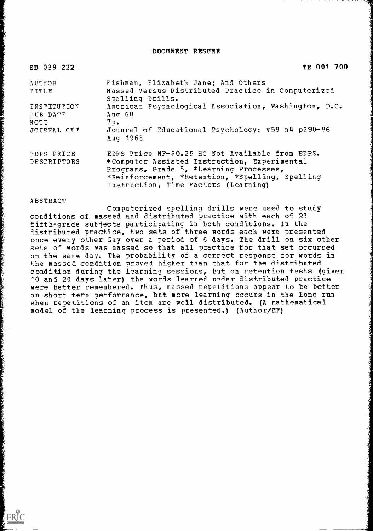DOCUMENT RESUME

| ED 039 222                       | TE 001 700                                                                                                                                                                                                                             |  |  |  |  |  |
|----------------------------------|----------------------------------------------------------------------------------------------------------------------------------------------------------------------------------------------------------------------------------------|--|--|--|--|--|
| <b>AUTHOR</b><br>TITLE           | Fishman, Elizabeth Jane; And Others<br>Massed Versus Distributed Practice in Computerized<br>Spelling Drills.                                                                                                                          |  |  |  |  |  |
| INSTITUTION<br>PUB DATE<br>NOTE  | American Psychological Association, Washington, D.C.<br>Aug $68$<br>7p.                                                                                                                                                                |  |  |  |  |  |
| JOURNAL CIT                      | Jounral of Educational Psychology; v59 n4 p290-96<br>Aug 1968                                                                                                                                                                          |  |  |  |  |  |
| EDRS PRICE<br><b>DESCRIPTORS</b> | EDRS Price MF-\$0.25 HC Not Available from EDRS.<br>*Computer Assisted Instruction, Experimental<br>Programs, Grade 5, *Learning Processes,<br>*Reinforcement, *Retention, *Spelling, Spelling<br>Instruction, Time Factors (Learning) |  |  |  |  |  |

# ABSTRACT

ERIC

Computerized spelling drills were used to study conditions of massed and distributed practice with each of 29 fifth-grade subjects participating in both conditions. In the distributed practice, two sets of three words each were presented once every other day over a period of 6 days. The drill on six other sets of words was massed so that all practice for that set occurred on the same day. The probability of a correct response for words in the massed condition proved. higher than that for the distributed condition during the learning sessions, but on retention tests (given 10 and 20 days later) the words learned under distributed practice were better remembered. Thus, massed repetitions appear to be better on short term performance, but more learning occurs in the long run when repetitions of an item are well distributed. (A mathematical model of the learning process is presented.) (Author/MF)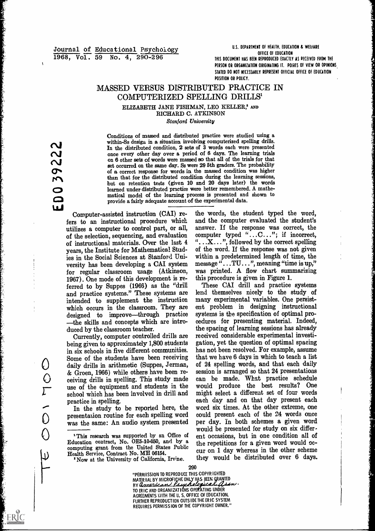of the state of the company of the state of the state

 $\mathbf{I}$ 

 $\mathbf{\Omega}$  $\mathbf{\Omega}$  $\boldsymbol{\mathsf{N}}$  $\boldsymbol{\sigma}$  $\mathcal{M}$ 

> $\bullet$  $\Omega$ W

 $\bigcirc$ 

ERIC

U.S. DEPARTMENT OF HEALTH, EDUCATION & WELfARE OFFICE OF EDUCATION THIS DOCUMENT HAS BEEN REPRODUCED EXACTLY AS RECEIVED FROM THE PERSON OR ORGANIZATION ORIGINATING IT. POINTS OF VIEW OR OPINIONS STATED DO NOT NECESSARILY REPRESENT OFFICIAL OFFICE OF EDUCATION POSITION OR POLICY.

# MASSED VERSUS DISTRIBUTED PRACTICE IN COMPUTERIZED SPELLING DRILLS'

ELIZABETH JANE FISHMAN, LEO KELLER,2 AND RICHARD C. ATKINSON

Stanford University

Conditions of massed and distributed practice were studied using a within-Ss design in a situation involving computerized spelling drills. In the distributed condition, 2 sets of 3 words each were presented once every other day over a period of 6 days. The learning trials on 6 other sets of words were massed so that all of the trials for that set occurred on the same day. Ss were 29 5th graders. The probability of a correct response for words in the massed condition was higher but on retention tests (given 10 and 20 days later) the words learned under distributed practice were better remembered. A mathematical model of the learning process is presented and shown to provide a fairly adequate account of the experimental data.

Computer-assisted instruction (CAI) refers to an instructional procedure which utilizes a computer to control part, or all, of the selection, sequencing, and evaluation of instructional materials. Over the last 4 years, the Institute for Mathematical Studies in the Social Sciences at Stanford University has been developing a CAI system for regular classroom wage (Atkinson, 1967). One mode of this development is referred to by Suppes (1966) as the "drill and practice systems." These systems are intended to supplement the instruction which occurs in the classroom. They are designed to improve-through practice -the skills and concepts which are introduced by the classroom teacher.

Currently, computer controlled drills are being given to approximately 1,800 students in six schools in five different communities. Some of the students have been receiving daily drills in arithmetic (Suppes, Jerman, & Groen, 1966) while others have been receiving drills in spelling. This study made use of the equipment and students in the school which has been involved in drill and

practice in spelling. In the study to be reported here, the presentation routine for each spelling word was the same: An audio system presented

2 Now at the University of California, Irvine.

the words, the student typed the word, and the computer evaluated the student's answer. If the response was correct, the computer typed  $\lq\ldots$ C..."; if incorrect,  $\mathbf{X} \dots \mathbf{X}$ ...", followed by the correct spelling of the word. If the response was not given within a predetermined length of time, the message "...TU...", meaning "time is up," was printed. A flow chart summarizing this procedure is given in Figure 1.

These CAI drill and practice systems lend themselves nicely to the study of many experimental variables. One persistent problem in designing instructional systems is the specification of optimal procedures for presenting material. Indeed, the spacing of learning sessions has already received considerable experimental investigation, yet the question of optimal spacing has not been resolved. For example, assume that we have 6 days in which to teach a list of 24 spelling words, and that each daily session is arranged so that 24 presentations can be made. What practice schedule would produce the best results? One might select a different set of four words each day and on that day present each word six times. At the other extreme, one could present each of the 24 words once per day. In both schemes a given word would be presented for study on six different occasions, but in one condition all of the repetitions for a given word would occur on 1 day whereas in the other scheme they would be distributed over 6 days.

290

"PERMISSION TO REPRODUCE THIS COPYR IGHTED MATER IAL BY MICROFICHE ONLY HAS BEEN GRANIED<br>BY *Annerscam Laychological Assm* TO ERIC AND ORGANIZATIONS OPERATING UNDER AGREEMENTS WITH THE U. S. OFFICE OF EDUCATION. FURTHER REPRODUCTION OUTSIDE THE ERIC SYSTEM REQUIRES PERMISSION OF THE COPYRIGHT OWNER."

<sup>&</sup>lt;sup>1</sup>This research was supported by an Office of Education contract, No. OE5-10-050, and by a computing grant from the United States Public Health Service, Contract No. ME 06154.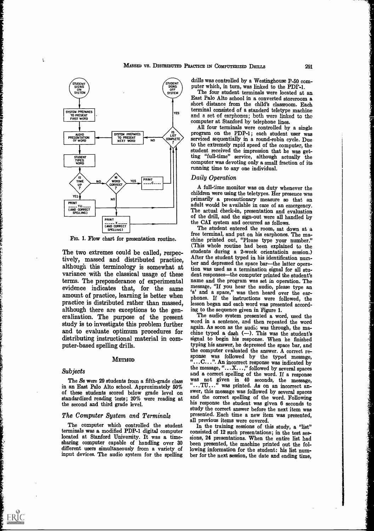

Fie. 1. Flow chart for presentation routine.

The two extremes could be called, respectively, massed and distributed practice, although this terminology is somewhat at variance with the classical usage of these terms. The preponderance of experimental evidence indicates that, for the same amount of practice, learning is better when practice is distributed rather than massed, although there are exceptions to the generalization. The purpose of the present <sup>The audio</sup> system presented a word, used the etudy is to investigate this problem further word in a sentence, and then repeated the word study is to investigate this problem further and to evaluate optimum procedures for distributing instructional material in computer-based spelling drills.

#### METHOD

#### Subjects

ţ.

in an East Palo Alto school. Approximately 50% of these students scored below grade level on standardized reading tests; 20% were reading at the second and third grade level.

The computer which controlled the student terminals was a modified PDP-1 digital computer located at Stanford University. It was a time- sharing computer capable of handling over 30 different users simultaneously from a variety of input devices. The audio system for the spelling drills was controlled by a Westinghouse P-50 computer which, in turn, was linked to the PDF-1.

The four student terminals were located at an. East Palo Alto school in a converted storeroom a short distance from the child's classroom. Each terminal consisted of a standard teletype machine terminal consisted of a standard teletype machine and a set of earphones; both were linked to the

computer at Stanford by telephone lines.<br>All four terminals were controlled by a single program on the PDP-1; each student user was serviced sequentially in a round-robin cycle. Due to the extremely rapid speed of the computer, the student received the impression that he was getting "full-time" service, although actually the computer was devoting only a small fraction of its running time to any one individual.

# Daily Operation

A full-time monitor was on duty whenever the children were using the teletypes. Her presence was primarily a precautionary measure so that an adult would be available in case of an emergency. The actual check-in, presentation and evaluation of the drill, and the sign-out were all handled by the CAI system and occurred as follows.

The student entered the room, sat down at a free terminal, and put on his earphones. The machine printed out, "Please type your number." (This whole routine had been explained to the students during a 2-week orientatioin session.) After the student typed in his identification number and depressed the space bar—the latter operation was used as a termination signal for all student responses—the computer printed the student's name and the program was set in operation. The message, "If you hear the audio, please type an `a' and a space," was then heard over the earphones. If the instructions were followed, the lesson began and each word was presented according to the sequence given in Figure 1.

The Ss were 29 students from a fifth-grade class was not given in 40 seconds, the message, The Computer System and Terminals all presented. Each time a new item The audio system presented a word, used the again. As soon as the audic was through, the machine typed a dash  $(-)$ . This was the student's signal to begin his response. When he finished typing his answer, he depressed the space bar, and the computer evaluated the answer. A correct re-<br>sponse was followed by the typed message, "...C...". An incorrect response was indicated by the message, "...X...." followed by several spaces and a correct spelling of the word. If a response was not given in 40 seconds, the message, "...TU..." was printed. As on an incorrect answer, this message was followed by several spaces and the correct spelling of the word. Following his response the student was given 6 seconds to study the correct answer before the next item was presented. Each time a new item was presented,

> In the training sessions of this study, a "list" consisted of 12 such presentations; in the test sessions, 24 presentations. When the entire list had been presented, the machine printed out the following information for the student: his list number for the next session, the date and ending time,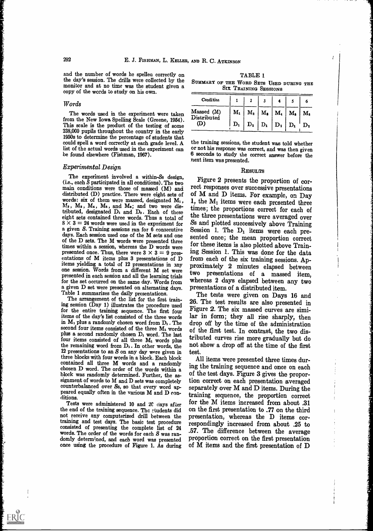and the number of words he spellea correctly on the day's session. The drills were collected by the monitor and at no time was the student given a copy of the words to study on his own.

#### Words

The words used in the experiment were taken from the New Iowa Spelling Scale (Greene, 1954). This scale is the product of the testing of some 238,000 pupils throughout the country in the early 1950s to determine the percentage of students that could spell a word correctly at each grade level. A the training sessions, the student was told whether list of the actual words used in the experiment can or not his response was correct, and was then given list of the actual words used in the experiment can be found elsewhere (Fishman, 1967).

# Experimental Design

The experiment involved a within-Ss design, (i.e., each S participated in all conditions). The two main conditions were those of massed (M) and distributed (D) practice. There were eight sets of words: six of them were massed, designated  $M_1$ .  $M_2$ ,  $M_3$ ,  $M_4$ ,  $M_5$ , and  $M_6$ ; and two were distributed, designated  $D_1$  and  $D_2$ . Each of these unites, the proportions correct for each of the three presentations were averaged over eight sets contained three words. Thus a total of  $\frac{L}{L}$  the three presentations were averaged over  $8 \times 3 = 24$  words were used in the experiment for Ss and plotted successively above Training  $8 \times 3 = 24$  words were used in the experiment for  $8 \times 3 = 24$  words were used in the experiment for  $8 \times 3 = 24$  words were exchanged in the experiment for  $8 \times 3 = 24$  were exchanged in the experiment for  $8 \times 3 = 24$  were a given S. Training sessions ran for 6 consecutive days. Each session used one of the M sets and one of the D sets. The M words were presented three times within a session, whereas the D words were<br>presented once. Thus, there were  $3 \times 3 = 9$  presentations of M items plus 3 presentations of D from each of the six training sessions. Apitems yielding a total of 12 presentations in any one session. Words from a different M set were presented in each session and all the learning trials for the set occurred on the same day. Words from a given D set were presented on alternating days. Table 1 summarizes the daily presentations.

The arrangement of the list for the first training session (Day 1) illustrates the procedure used for the entire training sequence. The first four items of the day's list consisted of the three words in  $M_1$  plus a randomly chosen word from  $D_1$ . The second four items consisted of the three  $M_1$  words plus a second randomly chosen  $D_1$  word. The last four items consisted of all three  $M_1$  words plus the remaining word from D1. In other words, the 12 presentations to an S on any day were given in three blocks with four words in a block. Each block contained all three M words and a randomly chosen D word. The order of the words within a block was randomly determined. Further, the assignment of words to M and D sets was completely counterbalanced over Ss, so that every word appeared equally often in the various M and D conditions.

Tests were administered 10 and 2C days after the end of the training sequence. The students did not receive any computerized drill between the training and test days. The basic test procedure consisted of presenting the complete list of 24 words. The order of the words for each S was randomly determined, and each word was presented once using the procedure of Figure 1. As during

ERIC

| TABLE 1 |  |
|---------|--|
|---------|--|

SUMMARY OF THE WORD SETS USED DURING THE SIX TRAINING SESSIONS

| Condition                 |                  |                               |                         |  |    |
|---------------------------|------------------|-------------------------------|-------------------------|--|----|
| Massed (M)<br>Distributed | $\mathbf{M_{1}}$ | $M_2$   $M_3$   $M_4$   $M_5$ |                         |  | м. |
| (D)                       | $D_1$            |                               | $D_2   D_1   D_2   D_1$ |  | D, |

the training sessions, the student was told whether 6 seconds to study the correct answer before the next item was presented.

# RESULTS

Figure 2 presents the proportion of correct responses over successive presentations of M and D items. For example, on Day 1, the  $M_1$  items were each presented three times; the proportions correct for each of sented once; the mean proportion correct for these items is also plotted above Training Session 1. This was done for the data proximately 2 minutes elapsed between two presentations of a massed item, whereas 2 days elapsed between any two presentations of a distributed item.

The tests were given on Days 16 and 26. The test results are also presented in Figure 2. The six massed curves are similar in form; they all rise sharply, then drop off by the time of the administration of the first test. In contrast, the two distributed curves rise more gradually but do not show a drop off at the time of the first test.

All items were presented three times during the training sequence and once on each of the test days. Figure 3 gives the proportion correct on each presentation averaged separately over M and D items. During the training sequence, the proportion correct for the M items increased from about .31 on the first presentation to .77 on the third presentation, whereas the D items correspondingly increased from about .25 to .57. The difference between the average proportion correct on the first presentation of M items and the first presentation of D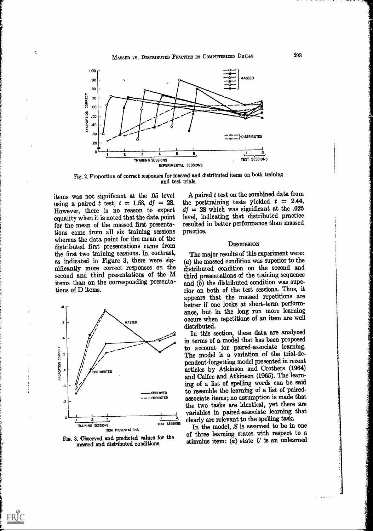

Fig. 2. Proportion of correct responses for massed and distributed items on both training and test trials.

items was not significant at the .05 level using a paired t test,  $t = 1.58$ ,  $df = 28$ . However, there is no reason to expect equality when it is noted that the data point for the mean of the massed first presentations came from all six training sessions whereas the data point for the mean of the distributed first presentations came from the first two training sessions. In contrast, as indicated in Figure 3, there were significantly more correct responses on the second and third presentations of the M items than on the corresponding presentations of D items.

÷

ERIC



Fro. 3. Observed and predicted values for the massed and distributed conditions.

A paired t test on the combined data from the posttraining tests yielded  $t = 2.44$ ,  $df = 28$  which was significant at the .025 level, indicating that distributed practice resulted in better performance than massed practice.

### **DISCUSSION**

The major results of this experiment were: (a) the massed condition was superior to the distributed condition on the second and third presentations of the training sequence and (b) the distributed condition was superior on both of the test sessions. Thus, it appears that the massed repetitions are better if one looks at short-term performance, but in the long run more learning occurs when repetitions of an item are well distributed.

 $\frac{2}{\pi}$  clearly are relevant to the spelling task. In this section, these data are analyzed in terms of a model that has been proposed to account for paired-associate learning. The model is a variation of the trial-dependent-forgetting model presented in recent articles by Atkinson and Crothers (1964) and Calfee and Atkinson (1965). The learning of a list of spelling words can be said to resemble the learning of a list of pairedassociate items; no assumption is made that the two tasks are identical, yet there are variables in paired associate learning that

In the model,  $S$  is assumed to be in one of three learning states with respect to a stimulus item:  $(a)$  state U is an unlearned

293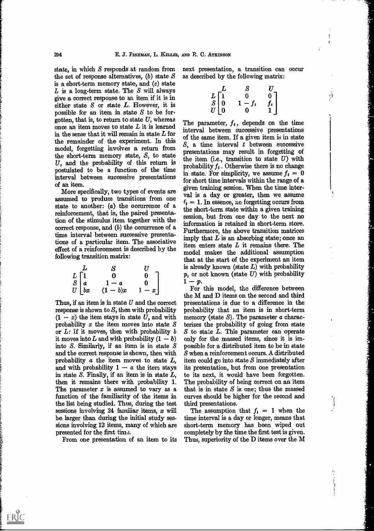state, in which S responds at random from the set of response alternatives,  $(b)$  state S is a short-term memory state, and (c) state  $L$  is a long-term state. The  $S$  will always give a correct response to an item if it is in either state  $S$  or state  $L$ . However, it is possible for an item in state S to be forgotten, that is, to return to state  $U$ , whereas once an item moves to state  $L$  it is learned in the sense that it will remain in state  $L$  for the remainder of the experiment. In this model, forgetting involves a return from the short-term memory state, 8, to state U, and the probability of this return is postulated to be a function of the time interval between successive presentations of an item.

More specifically, two types of events are assumed to produce transitions from one state to another: (a) the occurrence of a reinforcement, that is, the paired presentation of the stimulus item together with the correct response, and (b) the occurrence of a time interval between successive presentations of a particular item. The associative effect of a reinforcement is described by the following transition matrix:

$$
\begin{array}{ccccc}\nL & S & U \\
L & 1 & 0 & 0 \\
S & a & 1-a & 0 \\
U & bx & (1-b)x & 1-x\n\end{array}
$$

Thus, if an item is in state  $U$  and the correct response is shown to  $S$ , then with probability  $(1 - x)$  the item stays in state U, and with probability  $x$  the item moves into state  $S$ or  $L$ : if it moves, then with probability  $b$ it moves into L and with probability  $(1 - b)$ into S. Similarly, if an item is in state S and the correct response is shown, then with probability  $a$  the item moves to state  $L$ , and with probability  $1 - a$  the item stays in state  $S$ . Finally, if an item is in state  $L$ , then it remains there with probability 1. The parameter  $x$  is assumed to vary as a function of the familiarity of the items in the list being studied. Thus, during the test sessions involving 24 familiar items,  $x$  will be larger than during the initial study sessions involving 12 items, many of which are presented for the first time.

From one presentation of an item to its

ERIC

next presentation, a transition can occur as described by the following matrix:

$$
\begin{array}{ccccc}\nL & S & U \\
L & 0 & 0 \\
S & 0 & 1 - f_t & f_t \\
U & 0 & 0 & 1\n\end{array}
$$

़े

 $U$  is already known (state  $L$ ) with probability The parameter,  $f_t$ , depends on the time interval between successive presentations of the same item. If a given item is in state  $S$ , a time interval t between successive presentations may result in forgetting of the item (i.e., transition to state  $U$ ) with probability  $f_t$ . Otherwise there is no change in state. For simplicity, we assume  $f_t = 0$ for short time intervals within the range of a given training session. When the time interval is a day or greater, then we assume  $f_t = 1$ . In essence, no forgetting occurs from the short-term state within a given training session, but from one day to the next no information is retained in short-term store. Furthermore, the above transition matrices imply that  $L$  is an absorbing state; once an item enters state L it remains there. The model makes the additional assumption that at the start of the experiment an item  $p$ , or not known (state  $U$ ) with probability  $1 - p$ .

> For this model, the difference between the M and D items on the second and third presentations is due to a difference in the probability that an item is in short-term memory (state  $S$ ). The parameter  $\alpha$  characterizes the probability of going from state  $S$  to state  $L$ . This parameter can operate only for the massed items, since it is impossible for a distributed item to be in state S when a reinforcement occurs. A distributed item could go into state  $S$  immediately after its presentation, but from one presentation to its next, it would have been forgotten. The probability of being correct on an item that, is in state  $S$  is one; thus the massed curves should be higher for the second and

> The assumption that  $f_i = 1$  when the time interval is a day or longer, means that short-term memory has been wiped out completely by the time the first test is given. Thus, superiority of the D items over the M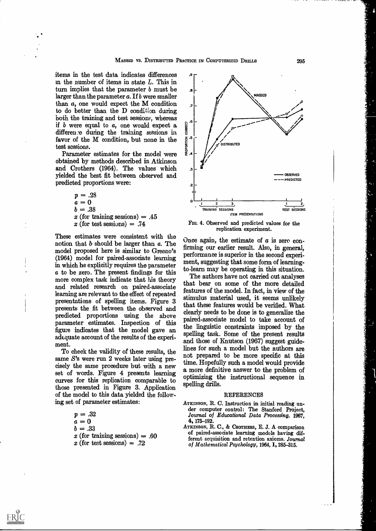items in the test data indicates differences in the number of items in state L. This in turn implies that the parameter b must be larger than the parameter  $a$ . If  $b$  were smaller than  $a$ , one would expect the M condition to do better than the D condition during both the training and test sessions, whereas if  $b$  were equal to  $a$ , one would expect a differen. e during the training sessions in favor of the M condition, but none in the test sessions.

4

Parameter estimates for the model were obtained by methods described in Atkinson and Crothers (1964). The values which yielded the best fit between observed and predicted proportions were:

> $p=.28$  $a = 0$  $b = .38$ x (for training sessions)  $= .45$ x (for test sessions) = .74

These estimates were consistent with the notion that b should be larger than a. The model proposed here is similar to Greeno's (1964) model for paired-associate learning in which he explicitly requires the parameter a to be zero. The present findings for this more complex task indicate that his theory and related research on paired-associate learning are relevant to the effect of repeated presentations of spelling items. Figure 3 presents the fit between the observed and predicted proportions using the above parameter estimates. Inspection of this figure indicates that the model gave an adequate account of the results of the experiment.

To check the validity of these results, the same S's were run 2 weeks later using precisely the same procedure but with a new set of words. Figure 4 presents learning curves for this replication comparable to those presented in Figure 3. Application of the model to this data yielded the following set of parameter estimates:

> $p=.32$  $a = 0$  $b = .33$ x (for training sessions)  $= .60$

x (for test sessions) = .72

ERIC



Fla. 4. Observed and predicted values for the replication experiment.

Once again, the estimate of  $a$  is zero confirming our earlier result. Also, in general, performance is superior in the second experiment, suggesting that some form of learningto-learn may be operating in this situation.

The authors have not carried out analyses that bear on some of the more detailed features of the model. In fact, in view of the stimulus material used, it seems unlikely that these features would be verified. What clearly needs to be done is to generalize the paired-associate model to take account of the linguistic constraints imposed by the spelling task. Some of the present results and those of Knutson (1967) suggest guidelines for such a model but the authors are not prepared to be more specific at this time. Hopefully such a model would provide a more definitive answer to the problem of optimizing the instructional sequence in spelling drills.

# REFERENCES

- ATKINSON, R. C. Instruction in initial reading under computer control: The Stanford Project, Journal of Educational Data Processing, 1967, 4, 175-192.
- ATKINSON, R. C., & CROTHERS, E. J. A comparison of paired-associate learning models having different acquisition and retention axioms. Journal of Mathematical Psychology, 1964,1, 285-315.

295